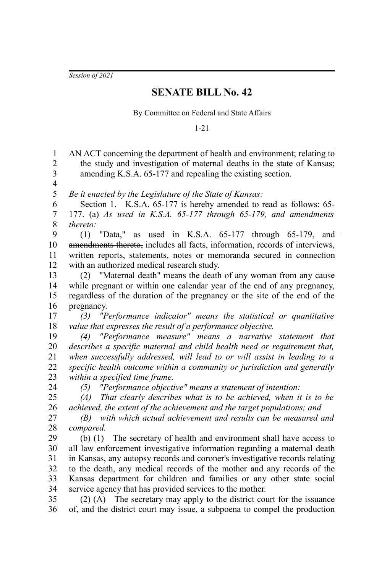*Session of 2021*

## **SENATE BILL No. 42**

By Committee on Federal and State Affairs

1-21

AN ACT concerning the department of health and environment; relating to the study and investigation of maternal deaths in the state of Kansas; amending K.S.A. 65-177 and repealing the existing section. *Be it enacted by the Legislature of the State of Kansas:* Section 1. K.S.A. 65-177 is hereby amended to read as follows: 65-177. (a) *As used in K.S.A. 65-177 through 65-179, and amendments thereto:* (1) "Data," $-$ as used in K.S.A.  $65-177$  through  $65-179$ , and amendments thereto, includes all facts, information, records of interviews, written reports, statements, notes or memoranda secured in connection with an authorized medical research study. (2) "Maternal death" means the death of any woman from any cause while pregnant or within one calendar year of the end of any pregnancy, regardless of the duration of the pregnancy or the site of the end of the pregnancy. *(3) "Performance indicator" means the statistical or quantitative value that expresses the result of a performance objective. (4) "Performance measure" means a narrative statement that describes a specific maternal and child health need or requirement that, when successfully addressed, will lead to or will assist in leading to a specific health outcome within a community or jurisdiction and generally within a specified time frame. (5) "Performance objective" means a statement of intention: (A) That clearly describes what is to be achieved, when it is to be achieved, the extent of the achievement and the target populations; and (B) with which actual achievement and results can be measured and compared.* (b) (1) The secretary of health and environment shall have access to all law enforcement investigative information regarding a maternal death in Kansas, any autopsy records and coroner's investigative records relating to the death, any medical records of the mother and any records of the Kansas department for children and families or any other state social service agency that has provided services to the mother. (2) (A) The secretary may apply to the district court for the issuance of, and the district court may issue, a subpoena to compel the production 1 2 3 4 5 6 7 8 9 10 11 12 13 14 15 16 17 18 19 20 21 22 23 24 25 26 27 28 29 30 31 32 33 34 35 36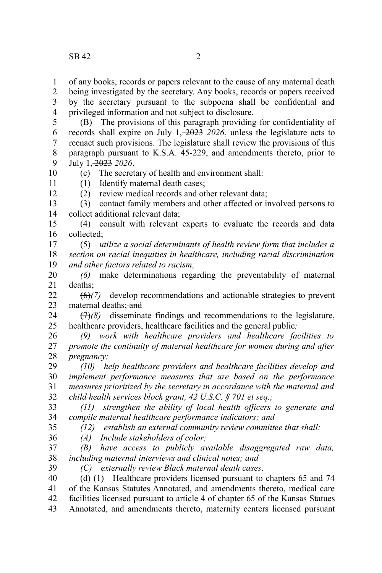10 11 12

of any books, records or papers relevant to the cause of any maternal death 1

being investigated by the secretary. Any books, records or papers received by the secretary pursuant to the subpoena shall be confidential and privileged information and not subject to disclosure. 2 3 4

(B) The provisions of this paragraph providing for confidentiality of records shall expire on July  $1, \frac{-2023}{2026}$ , unless the legislature acts to reenact such provisions. The legislature shall review the provisions of this paragraph pursuant to K.S.A. 45-229, and amendments thereto, prior to July 1, 2023 *2026*. 5 6 7 8 9

(c) The secretary of health and environment shall:

(1) Identify maternal death cases;

(2) review medical records and other relevant data;

(3) contact family members and other affected or involved persons to collect additional relevant data; 13 14

(4) consult with relevant experts to evaluate the records and data collected; 15 16

(5) *utilize a social determinants of health review form that includes a section on racial inequities in healthcare, including racial discrimination and other factors related to racism;*  17 18 19

*(6)* make determinations regarding the preventability of maternal deaths; 20 21

(6)*(7)* develop recommendations and actionable strategies to prevent maternal deaths; and  $22$ 23

(7)*(8)* disseminate findings and recommendations to the legislature, healthcare providers, healthcare facilities and the general public*;* 24 25

*(9) work with healthcare providers and healthcare facilities to promote the continuity of maternal healthcare for women during and after pregnancy;* 26 27 28

*(10) help healthcare providers and healthcare facilities develop and implement performance measures that are based on the performance measures prioritized by the secretary in accordance with the maternal and child health services block grant, 42 U.S.C. § 701 et seq.;* 29 30 31 32

*(11) strengthen the ability of local health officers to generate and compile maternal healthcare performance indicators; and (12) establish an external community review committee that shall:*  33 34

35 36

*(A) Include stakeholders of color;*

*(B) have access to publicly available disaggregated raw data, including maternal interviews and clinical notes; and* 37 38

39

*(C) externally review Black maternal death cases*.

(d) (1) Healthcare providers licensed pursuant to chapters 65 and 74 of the Kansas Statutes Annotated, and amendments thereto, medical care facilities licensed pursuant to article 4 of chapter 65 of the Kansas Statues Annotated, and amendments thereto, maternity centers licensed pursuant 40 41 42 43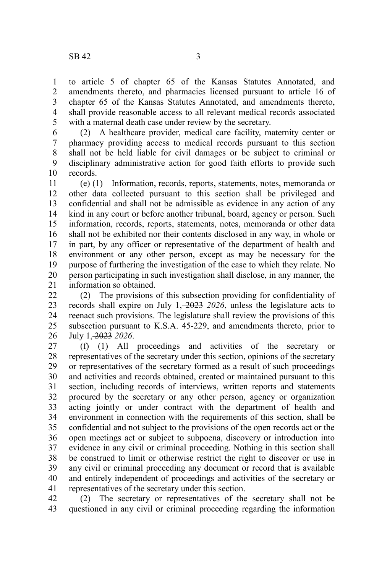to article 5 of chapter 65 of the Kansas Statutes Annotated, and amendments thereto, and pharmacies licensed pursuant to article 16 of chapter 65 of the Kansas Statutes Annotated, and amendments thereto, shall provide reasonable access to all relevant medical records associated with a maternal death case under review by the secretary. 1 2 3 4 5

(2) A healthcare provider, medical care facility, maternity center or pharmacy providing access to medical records pursuant to this section shall not be held liable for civil damages or be subject to criminal or disciplinary administrative action for good faith efforts to provide such records. 6 7 8 9 10

(e) (1) Information, records, reports, statements, notes, memoranda or other data collected pursuant to this section shall be privileged and confidential and shall not be admissible as evidence in any action of any kind in any court or before another tribunal, board, agency or person. Such information, records, reports, statements, notes, memoranda or other data shall not be exhibited nor their contents disclosed in any way, in whole or in part, by any officer or representative of the department of health and environment or any other person, except as may be necessary for the purpose of furthering the investigation of the case to which they relate. No person participating in such investigation shall disclose, in any manner, the information so obtained. 11 12 13 14 15 16 17 18 19 20 21

(2) The provisions of this subsection providing for confidentiality of records shall expire on July 1, 2023 *2026*, unless the legislature acts to reenact such provisions. The legislature shall review the provisions of this subsection pursuant to K.S.A. 45-229, and amendments thereto, prior to July 1, 2023 *2026*. 22 23 24 25 26

(f) (1) All proceedings and activities of the secretary or representatives of the secretary under this section, opinions of the secretary or representatives of the secretary formed as a result of such proceedings and activities and records obtained, created or maintained pursuant to this section, including records of interviews, written reports and statements procured by the secretary or any other person, agency or organization acting jointly or under contract with the department of health and environment in connection with the requirements of this section, shall be confidential and not subject to the provisions of the open records act or the open meetings act or subject to subpoena, discovery or introduction into evidence in any civil or criminal proceeding. Nothing in this section shall be construed to limit or otherwise restrict the right to discover or use in any civil or criminal proceeding any document or record that is available and entirely independent of proceedings and activities of the secretary or representatives of the secretary under this section. 27 28 29 30 31 32 33 34 35 36 37 38 39 40 41

(2) The secretary or representatives of the secretary shall not be questioned in any civil or criminal proceeding regarding the information 42 43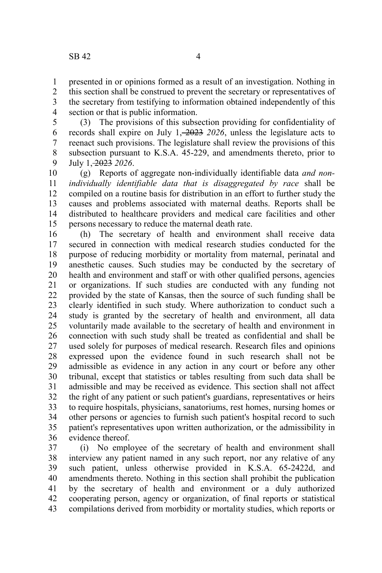presented in or opinions formed as a result of an investigation. Nothing in this section shall be construed to prevent the secretary or representatives of the secretary from testifying to information obtained independently of this section or that is public information. 1 2 3 4

(3) The provisions of this subsection providing for confidentiality of records shall expire on July 1, 2023 *2026*, unless the legislature acts to reenact such provisions. The legislature shall review the provisions of this subsection pursuant to K.S.A. 45-229, and amendments thereto, prior to July 1, 2023 *2026*. 5 6 7 8 9

(g) Reports of aggregate non-individually identifiable data *and nonindividually identifiable data that is disaggregated by race* shall be compiled on a routine basis for distribution in an effort to further study the causes and problems associated with maternal deaths. Reports shall be distributed to healthcare providers and medical care facilities and other persons necessary to reduce the maternal death rate. 10 11 12 13 14 15

(h) The secretary of health and environment shall receive data secured in connection with medical research studies conducted for the purpose of reducing morbidity or mortality from maternal, perinatal and anesthetic causes. Such studies may be conducted by the secretary of health and environment and staff or with other qualified persons, agencies or organizations. If such studies are conducted with any funding not provided by the state of Kansas, then the source of such funding shall be clearly identified in such study. Where authorization to conduct such a study is granted by the secretary of health and environment, all data voluntarily made available to the secretary of health and environment in connection with such study shall be treated as confidential and shall be used solely for purposes of medical research. Research files and opinions expressed upon the evidence found in such research shall not be admissible as evidence in any action in any court or before any other tribunal, except that statistics or tables resulting from such data shall be admissible and may be received as evidence. This section shall not affect the right of any patient or such patient's guardians, representatives or heirs to require hospitals, physicians, sanatoriums, rest homes, nursing homes or other persons or agencies to furnish such patient's hospital record to such patient's representatives upon written authorization, or the admissibility in evidence thereof. 16 17 18 19 20 21 22 23 24 25 26 27 28 29 30 31 32 33 34 35 36

(i) No employee of the secretary of health and environment shall interview any patient named in any such report, nor any relative of any such patient, unless otherwise provided in K.S.A. 65-2422d, and amendments thereto. Nothing in this section shall prohibit the publication by the secretary of health and environment or a duly authorized cooperating person, agency or organization, of final reports or statistical compilations derived from morbidity or mortality studies, which reports or 37 38 39 40 41 42 43